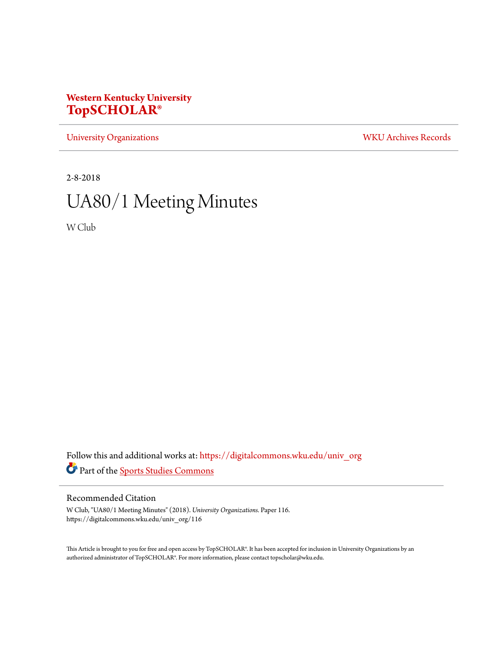## **Western Kentucky University [TopSCHOLAR®](https://digitalcommons.wku.edu?utm_source=digitalcommons.wku.edu%2Funiv_org%2F116&utm_medium=PDF&utm_campaign=PDFCoverPages)**

[University Organizations](https://digitalcommons.wku.edu/univ_org?utm_source=digitalcommons.wku.edu%2Funiv_org%2F116&utm_medium=PDF&utm_campaign=PDFCoverPages) [WKU Archives Records](https://digitalcommons.wku.edu/dlsc_ua_records?utm_source=digitalcommons.wku.edu%2Funiv_org%2F116&utm_medium=PDF&utm_campaign=PDFCoverPages)

2-8-2018

# UA80/1 Meeting Minutes

W Club

Follow this and additional works at: [https://digitalcommons.wku.edu/univ\\_org](https://digitalcommons.wku.edu/univ_org?utm_source=digitalcommons.wku.edu%2Funiv_org%2F116&utm_medium=PDF&utm_campaign=PDFCoverPages) Part of the [Sports Studies Commons](http://network.bepress.com/hgg/discipline/1198?utm_source=digitalcommons.wku.edu%2Funiv_org%2F116&utm_medium=PDF&utm_campaign=PDFCoverPages)

## Recommended Citation

W Club, "UA80/1 Meeting Minutes" (2018). *University Organizations.* Paper 116. https://digitalcommons.wku.edu/univ\_org/116

This Article is brought to you for free and open access by TopSCHOLAR®. It has been accepted for inclusion in University Organizations by an authorized administrator of TopSCHOLAR®. For more information, please contact topscholar@wku.edu.